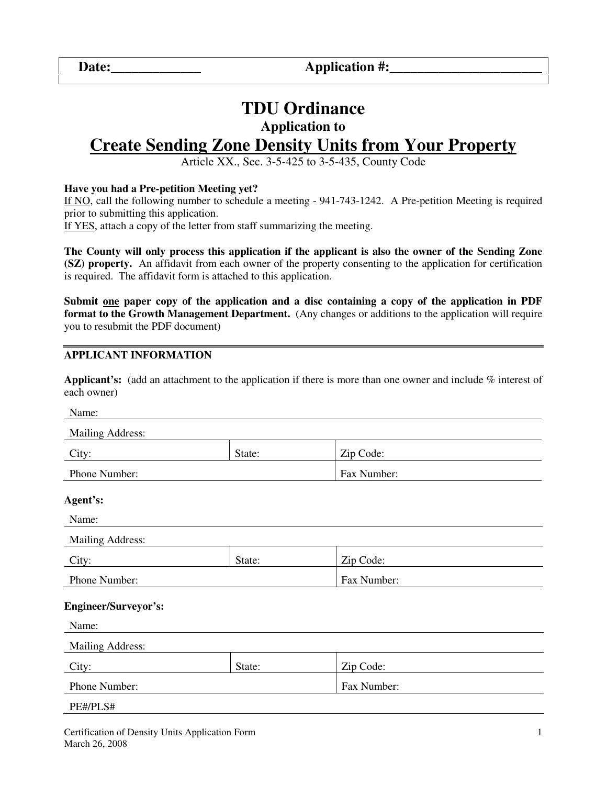**Date:\_\_\_\_\_\_\_\_\_\_\_\_\_ Application #:\_\_\_\_\_\_\_\_\_\_\_\_\_\_\_\_\_\_\_\_\_\_** 

# **TDU Ordinance**

## **Application to**

## **Create Sending Zone Density Units from Your Property**

Article XX., Sec. 3-5-425 to 3-5-435, County Code

#### **Have you had a Pre-petition Meeting yet?**

If NO, call the following number to schedule a meeting - 941-743-1242. A Pre-petition Meeting is required prior to submitting this application.

If YES, attach a copy of the letter from staff summarizing the meeting.

**The County will only process this application if the applicant is also the owner of the Sending Zone (SZ) property.** An affidavit from each owner of the property consenting to the application for certification is required. The affidavit form is attached to this application.

**Submit one paper copy of the application and a disc containing a copy of the application in PDF format to the Growth Management Department.** (Any changes or additions to the application will require you to resubmit the PDF document)

#### **APPLICANT INFORMATION**

**Applicant's:** (add an attachment to the application if there is more than one owner and include % interest of each owner)

| Name:                       |        |             |  |  |  |  |
|-----------------------------|--------|-------------|--|--|--|--|
| <b>Mailing Address:</b>     |        |             |  |  |  |  |
| City:<br>State:             |        | Zip Code:   |  |  |  |  |
| Phone Number:               |        | Fax Number: |  |  |  |  |
| Agent's:                    |        |             |  |  |  |  |
| Name:                       |        |             |  |  |  |  |
| Mailing Address:            |        |             |  |  |  |  |
| City:                       | State: | Zip Code:   |  |  |  |  |
| Phone Number:               |        | Fax Number: |  |  |  |  |
| <b>Engineer/Surveyor's:</b> |        |             |  |  |  |  |
| Name:                       |        |             |  |  |  |  |
| <b>Mailing Address:</b>     |        |             |  |  |  |  |
| City:                       | State: | Zip Code:   |  |  |  |  |
| Phone Number:               |        | Fax Number: |  |  |  |  |
| PE#/PLS#                    |        |             |  |  |  |  |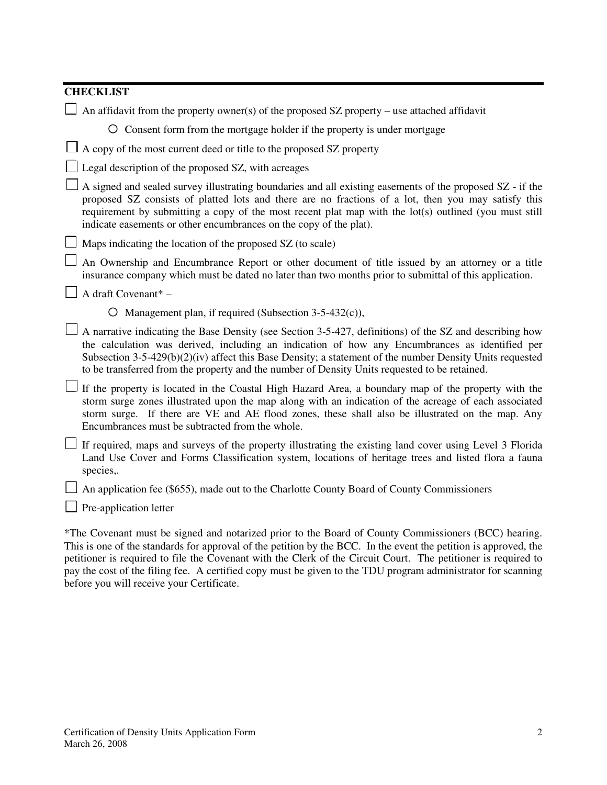| <b>CHECKLIST</b>                                                                                                                                                                                                                                                                                                                                                                                                         |  |  |  |  |
|--------------------------------------------------------------------------------------------------------------------------------------------------------------------------------------------------------------------------------------------------------------------------------------------------------------------------------------------------------------------------------------------------------------------------|--|--|--|--|
| An affidavit from the property owner(s) of the proposed $SZ$ property – use attached affidavit                                                                                                                                                                                                                                                                                                                           |  |  |  |  |
| O Consent form from the mortgage holder if the property is under mortgage                                                                                                                                                                                                                                                                                                                                                |  |  |  |  |
| $\Box$ A copy of the most current deed or title to the proposed SZ property                                                                                                                                                                                                                                                                                                                                              |  |  |  |  |
| Legal description of the proposed SZ, with acreages                                                                                                                                                                                                                                                                                                                                                                      |  |  |  |  |
| A signed and sealed survey illustrating boundaries and all existing easements of the proposed SZ - if the<br>proposed SZ consists of platted lots and there are no fractions of a lot, then you may satisfy this<br>requirement by submitting a copy of the most recent plat map with the lot(s) outlined (you must still<br>indicate easements or other encumbrances on the copy of the plat).                          |  |  |  |  |
| Maps indicating the location of the proposed SZ (to scale)                                                                                                                                                                                                                                                                                                                                                               |  |  |  |  |
| An Ownership and Encumbrance Report or other document of title issued by an attorney or a title<br>insurance company which must be dated no later than two months prior to submittal of this application.                                                                                                                                                                                                                |  |  |  |  |
| A draft Covenant* -                                                                                                                                                                                                                                                                                                                                                                                                      |  |  |  |  |
| $\circ$ Management plan, if required (Subsection 3-5-432(c)),                                                                                                                                                                                                                                                                                                                                                            |  |  |  |  |
| A narrative indicating the Base Density (see Section 3-5-427, definitions) of the SZ and describing how<br>the calculation was derived, including an indication of how any Encumbrances as identified per<br>Subsection $3-5-429(b)(2)(iv)$ affect this Base Density; a statement of the number Density Units requested<br>to be transferred from the property and the number of Density Units requested to be retained. |  |  |  |  |
| If the property is located in the Coastal High Hazard Area, a boundary map of the property with the<br>storm surge zones illustrated upon the map along with an indication of the acreage of each associated<br>storm surge. If there are VE and AE flood zones, these shall also be illustrated on the map. Any<br>Encumbrances must be subtracted from the whole.                                                      |  |  |  |  |
| If required, maps and surveys of the property illustrating the existing land cover using Level 3 Florida<br>Land Use Cover and Forms Classification system, locations of heritage trees and listed flora a fauna<br>species,.                                                                                                                                                                                            |  |  |  |  |
| An application fee (\$655), made out to the Charlotte County Board of County Commissioners                                                                                                                                                                                                                                                                                                                               |  |  |  |  |
| Pre-application letter                                                                                                                                                                                                                                                                                                                                                                                                   |  |  |  |  |
|                                                                                                                                                                                                                                                                                                                                                                                                                          |  |  |  |  |

\*The Covenant must be signed and notarized prior to the Board of County Commissioners (BCC) hearing. This is one of the standards for approval of the petition by the BCC. In the event the petition is approved, the petitioner is required to file the Covenant with the Clerk of the Circuit Court. The petitioner is required to pay the cost of the filing fee. A certified copy must be given to the TDU program administrator for scanning before you will receive your Certificate.